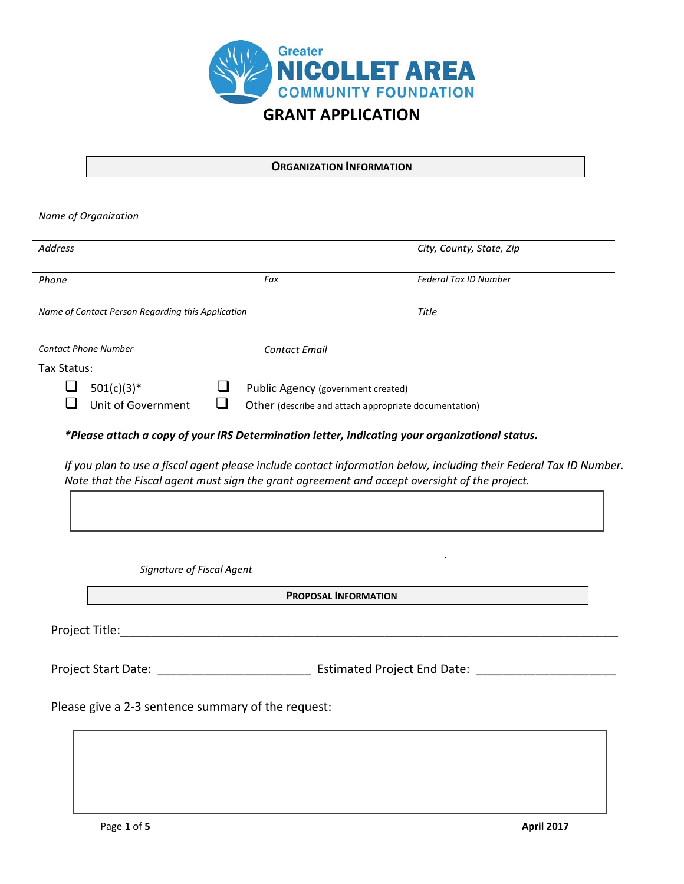

## **ORGANIZATION INFORMATION**

| <b>Address</b><br>City, County, State, Zip<br>Fax<br>Federal Tax ID Number<br>Phone<br>Name of Contact Person Regarding this Application<br><b>Title</b><br><b>Contact Phone Number</b><br><b>Contact Email</b><br>Tax Status:<br>ப<br>$501(c)(3)*$<br>⊔<br>Public Agency (government created)<br>❏<br>Unit of Government<br>Other (describe and attach appropriate documentation)<br>*Please attach a copy of your IRS Determination letter, indicating your organizational status.<br>If you plan to use a fiscal agent please include contact information below, including their Federal Tax ID Number.<br>Note that the Fiscal agent must sign the grant agreement and accept oversight of the project.<br>Signature of Fiscal Agent<br><b>PROPOSAL INFORMATION</b> | Name of Organization                                                                                  |
|-------------------------------------------------------------------------------------------------------------------------------------------------------------------------------------------------------------------------------------------------------------------------------------------------------------------------------------------------------------------------------------------------------------------------------------------------------------------------------------------------------------------------------------------------------------------------------------------------------------------------------------------------------------------------------------------------------------------------------------------------------------------------|-------------------------------------------------------------------------------------------------------|
|                                                                                                                                                                                                                                                                                                                                                                                                                                                                                                                                                                                                                                                                                                                                                                         |                                                                                                       |
|                                                                                                                                                                                                                                                                                                                                                                                                                                                                                                                                                                                                                                                                                                                                                                         |                                                                                                       |
|                                                                                                                                                                                                                                                                                                                                                                                                                                                                                                                                                                                                                                                                                                                                                                         |                                                                                                       |
|                                                                                                                                                                                                                                                                                                                                                                                                                                                                                                                                                                                                                                                                                                                                                                         |                                                                                                       |
|                                                                                                                                                                                                                                                                                                                                                                                                                                                                                                                                                                                                                                                                                                                                                                         |                                                                                                       |
|                                                                                                                                                                                                                                                                                                                                                                                                                                                                                                                                                                                                                                                                                                                                                                         |                                                                                                       |
|                                                                                                                                                                                                                                                                                                                                                                                                                                                                                                                                                                                                                                                                                                                                                                         |                                                                                                       |
|                                                                                                                                                                                                                                                                                                                                                                                                                                                                                                                                                                                                                                                                                                                                                                         |                                                                                                       |
|                                                                                                                                                                                                                                                                                                                                                                                                                                                                                                                                                                                                                                                                                                                                                                         |                                                                                                       |
|                                                                                                                                                                                                                                                                                                                                                                                                                                                                                                                                                                                                                                                                                                                                                                         |                                                                                                       |
|                                                                                                                                                                                                                                                                                                                                                                                                                                                                                                                                                                                                                                                                                                                                                                         | Project Title: National Accounts and Accounts and Accounts and Accounts and Accounts and Accounts and |
|                                                                                                                                                                                                                                                                                                                                                                                                                                                                                                                                                                                                                                                                                                                                                                         |                                                                                                       |
| Please give a 2-3 sentence summary of the request:                                                                                                                                                                                                                                                                                                                                                                                                                                                                                                                                                                                                                                                                                                                      |                                                                                                       |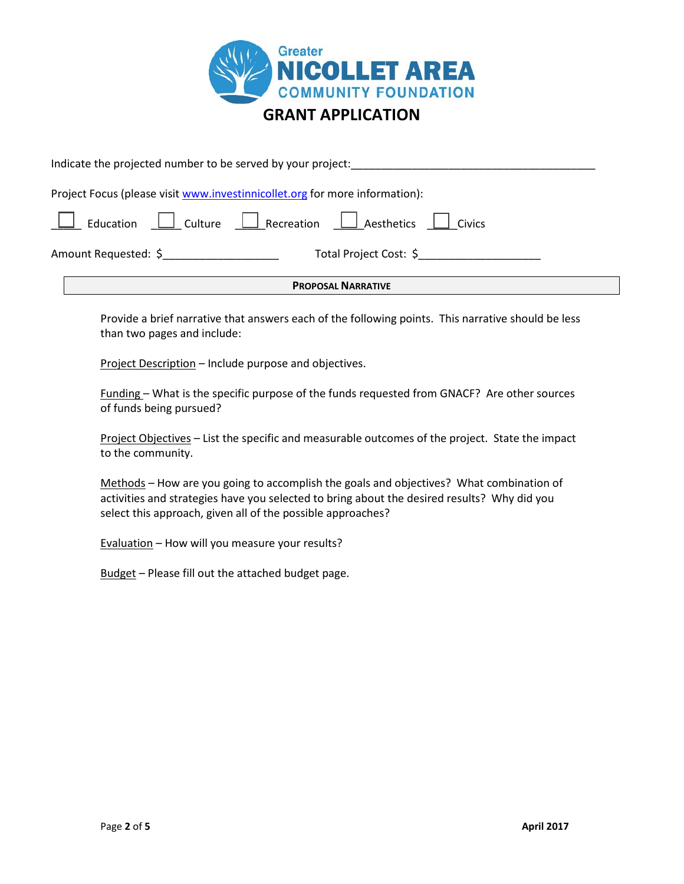

| <b>PROPOSAL NARRATIVE</b>                                                   |  |  |  |  |  |
|-----------------------------------------------------------------------------|--|--|--|--|--|
| Total Project Cost: \$<br>Amount Requested: \$                              |  |  |  |  |  |
| Education C Culture Recreation L Aesthetics Civics                          |  |  |  |  |  |
| Project Focus (please visit www.investinnicollet.org for more information): |  |  |  |  |  |
| Indicate the projected number to be served by your project:                 |  |  |  |  |  |

Provide a brief narrative that answers each of the following points. This narrative should be less than two pages and include:

Project Description – Include purpose and objectives.

Funding – What is the specific purpose of the funds requested from GNACF? Are other sources of funds being pursued?

Project Objectives – List the specific and measurable outcomes of the project. State the impact to the community.

Methods – How are you going to accomplish the goals and objectives? What combination of activities and strategies have you selected to bring about the desired results? Why did you select this approach, given all of the possible approaches?

Evaluation – How will you measure your results?

Budget – Please fill out the attached budget page.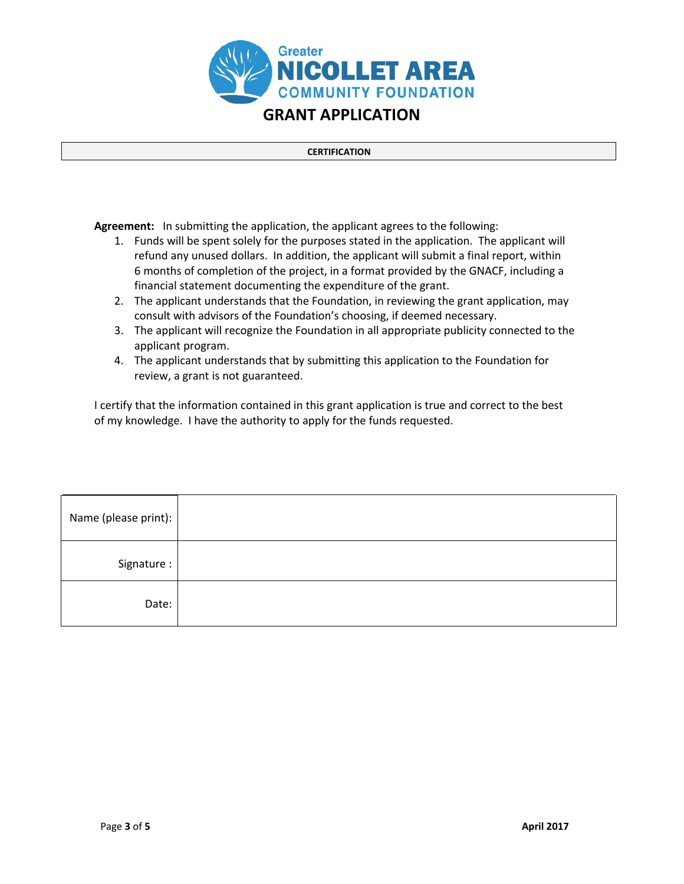

## **CERTIFICATION**

**Agreement:** In submitting the application, the applicant agrees to the following:

- 1. Funds will be spent solely for the purposes stated in the application. The applicant will refund any unused dollars. In addition, the applicant will submit a final report, within 6 months of completion of the project, in a format provided by the GNACF, including a financial statement documenting the expenditure of the grant.
- 2. The applicant understands that the Foundation, in reviewing the grant application, may consult with advisors of the Foundation's choosing, if deemed necessary.
- 3. The applicant will recognize the Foundation in all appropriate publicity connected to the applicant program.
- 4. The applicant understands that by submitting this application to the Foundation for review, a grant is not guaranteed.

I certify that the information contained in this grant application is true and correct to the best of my knowledge. I have the authority to apply for the funds requested.

| Name (please print): |  |
|----------------------|--|
| Signature:           |  |
| Date:                |  |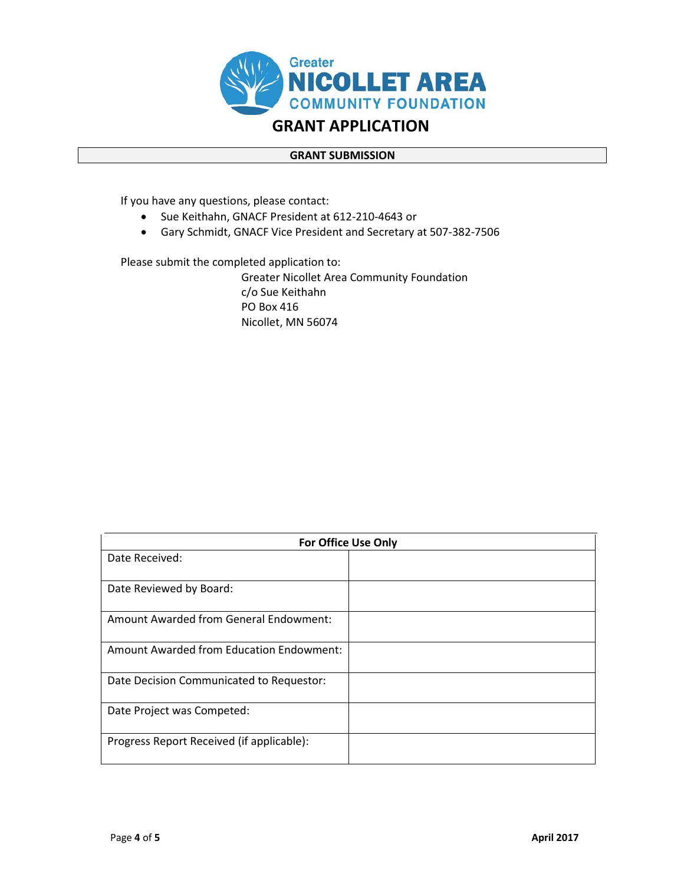

## **GRANT SUBMISSION**

If you have any questions, please contact:

- Sue Keithahn, GNACF President at 612-210-4643 or
- Gary Schmidt, GNACF Vice President and Secretary at 507-382-7506

Please submit the completed application to:

Greater Nicollet Area Community Foundation c/o Sue Keithahn PO Box 416 Nicollet, MN 56074

| <b>For Office Use Only</b>                |  |  |  |
|-------------------------------------------|--|--|--|
| Date Received:                            |  |  |  |
|                                           |  |  |  |
| Date Reviewed by Board:                   |  |  |  |
| Amount Awarded from General Endowment:    |  |  |  |
| Amount Awarded from Education Endowment:  |  |  |  |
| Date Decision Communicated to Requestor:  |  |  |  |
| Date Project was Competed:                |  |  |  |
| Progress Report Received (if applicable): |  |  |  |